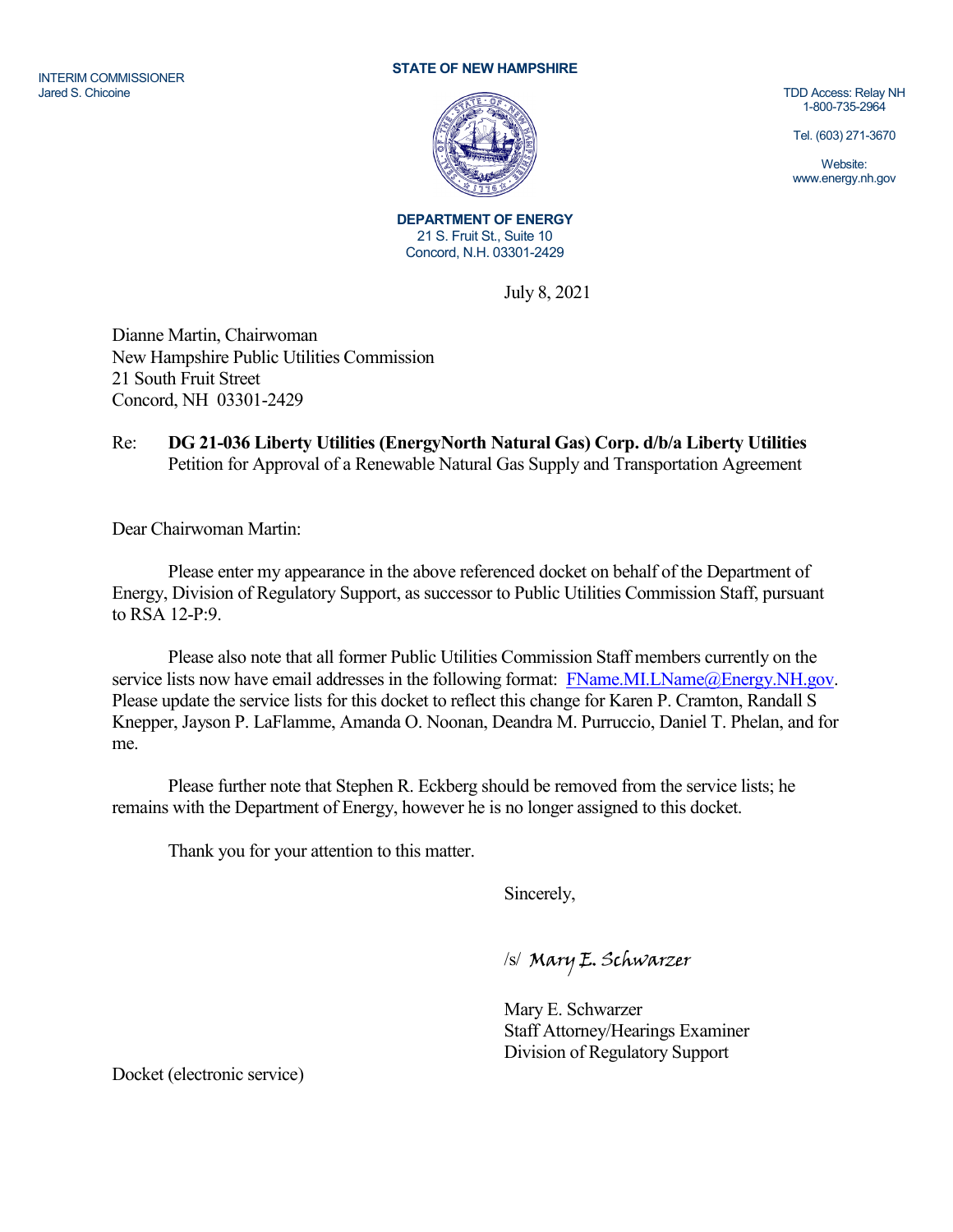## INTERIM COMMISSIONER Jared S. Chicoine

## **STATE OF NEW HAMPSHIRE**



TDD Access: Relay NH 1-800-735-2964

Tel. (603) 271-3670

Website: www.energy.nh.gov

**DEPARTMENT OF ENERGY** 21 S. Fruit St., Suite 10 Concord, N.H. 03301-2429

July 8, 2021

Dianne Martin, Chairwoman New Hampshire Public Utilities Commission 21 South Fruit Street Concord, NH 03301-2429

## Re: **DG 21-036 Liberty Utilities (EnergyNorth Natural Gas) Corp. d/b/a Liberty Utilities** Petition for Approval of a Renewable Natural Gas Supply and Transportation Agreement

Dear Chairwoman Martin:

Please enter my appearance in the above referenced docket on behalf of the Department of Energy, Division of Regulatory Support, as successor to Public Utilities Commission Staff, pursuant to RSA 12-P:9.

Please also note that all former Public Utilities Commission Staff members currently on the service lists now have email addresses in the following format: [FName.MI.LName@Energy.NH.gov.](mailto:FName.MI.LName@Energy.NH.gov) Please update the service lists for this docket to reflect this change for Karen P. Cramton, Randall S Knepper, Jayson P. LaFlamme, Amanda O. Noonan, Deandra M. Purruccio, Daniel T. Phelan, and for me.

Please further note that Stephen R. Eckberg should be removed from the service lists; he remains with the Department of Energy, however he is no longer assigned to this docket.

Thank you for your attention to this matter.

Sincerely,

/s/ Mary E. Schwarzer

Mary E. Schwarzer Staff Attorney/Hearings Examiner Division of Regulatory Support

Docket (electronic service)